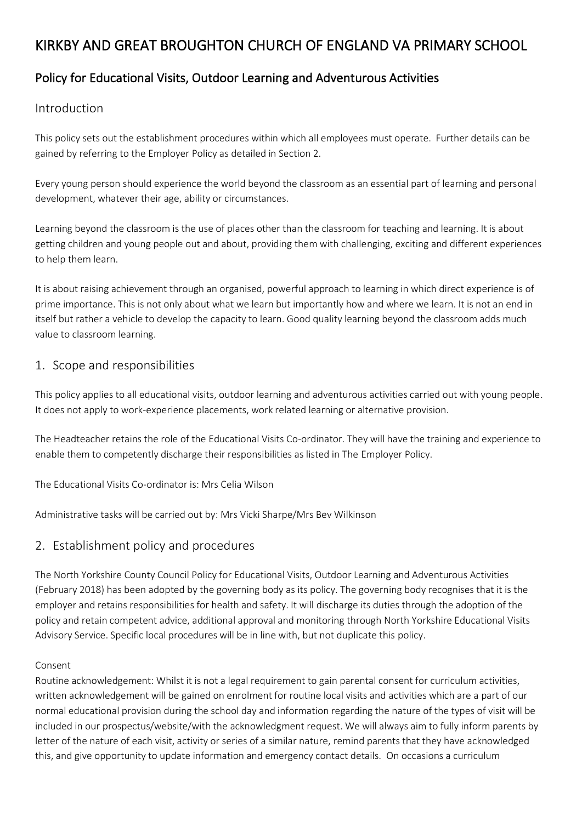# KIRKBY AND GREAT BROUGHTON CHURCH OF ENGLAND VA PRIMARY SCHOOL

# Policy for Educational Visits, Outdoor Learning and Adventurous Activities

### Introduction

This policy sets out the establishment procedures within which all employees must operate. Further details can be gained by referring to the Employer Policy as detailed in Section 2.

Every young person should experience the world beyond the classroom as an essential part of learning and personal development, whatever their age, ability or circumstances.

Learning beyond the classroom is the use of places other than the classroom for teaching and learning. It is about getting children and young people out and about, providing them with challenging, exciting and different experiences to help them learn.

It is about raising achievement through an organised, powerful approach to learning in which direct experience is of prime importance. This is not only about what we learn but importantly how and where we learn. It is not an end in itself but rather a vehicle to develop the capacity to learn. Good quality learning beyond the classroom adds much value to classroom learning.

### 1. Scope and responsibilities

This policy applies to all educational visits, outdoor learning and adventurous activities carried out with young people. It does not apply to work-experience placements, work related learning or alternative provision.

The Headteacher retains the role of the Educational Visits Co-ordinator. They will have the training and experience to enable them to competently discharge their responsibilities as listed in The Employer Policy.

The Educational Visits Co-ordinator is: Mrs Celia Wilson

Administrative tasks will be carried out by: Mrs Vicki Sharpe/Mrs Bev Wilkinson

### 2. Establishment policy and procedures

The North Yorkshire County Council Policy for Educational Visits, Outdoor Learning and Adventurous Activities (February 2018) has been adopted by the governing body as its policy. The governing body recognises that it is the employer and retains responsibilities for health and safety. It will discharge its duties through the adoption of the policy and retain competent advice, additional approval and monitoring through North Yorkshire Educational Visits Advisory Service. Specific local procedures will be in line with, but not duplicate this policy.

#### Consent

Routine acknowledgement: Whilst it is not a legal requirement to gain parental consent for curriculum activities, written acknowledgement will be gained on enrolment for routine local visits and activities which are a part of our normal educational provision during the school day and information regarding the nature of the types of visit will be included in our prospectus/website/with the acknowledgment request. We will always aim to fully inform parents by letter of the nature of each visit, activity or series of a similar nature, remind parents that they have acknowledged this, and give opportunity to update information and emergency contact details. On occasions a curriculum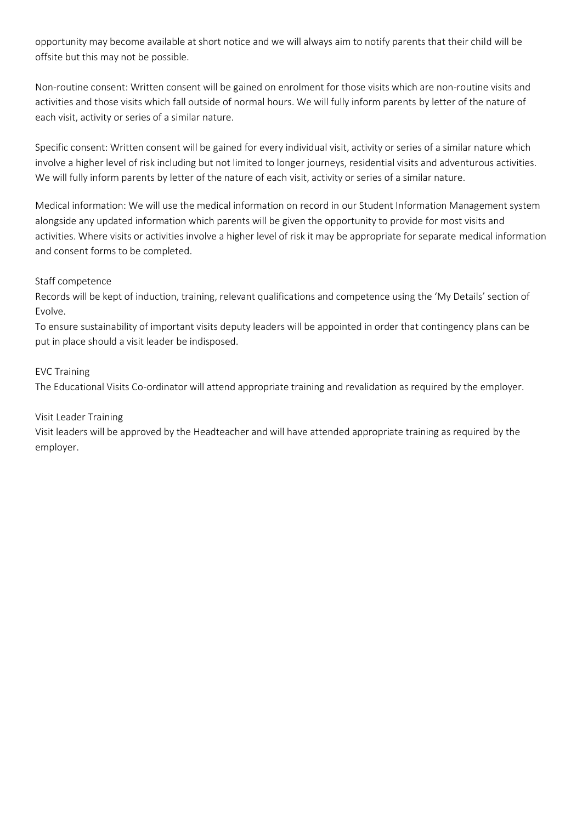opportunity may become available at short notice and we will always aim to notify parents that their child will be offsite but this may not be possible.

Non-routine consent: Written consent will be gained on enrolment for those visits which are non-routine visits and activities and those visits which fall outside of normal hours. We will fully inform parents by letter of the nature of each visit, activity or series of a similar nature.

Specific consent: Written consent will be gained for every individual visit, activity or series of a similar nature which involve a higher level of risk including but not limited to longer journeys, residential visits and adventurous activities. We will fully inform parents by letter of the nature of each visit, activity or series of a similar nature.

Medical information: We will use the medical information on record in our Student Information Management system alongside any updated information which parents will be given the opportunity to provide for most visits and activities. Where visits or activities involve a higher level of risk it may be appropriate for separate medical information and consent forms to be completed.

#### Staff competence

Records will be kept of induction, training, relevant qualifications and competence using the 'My Details' section of Evolve.

To ensure sustainability of important visits deputy leaders will be appointed in order that contingency plans can be put in place should a visit leader be indisposed.

#### EVC Training

The Educational Visits Co-ordinator will attend appropriate training and revalidation as required by the employer.

#### Visit Leader Training

Visit leaders will be approved by the Headteacher and will have attended appropriate training as required by the employer.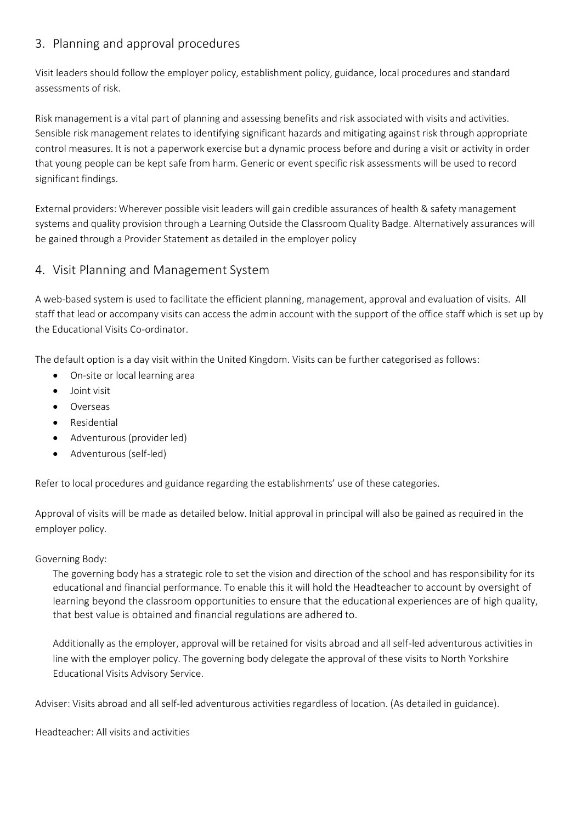## 3. Planning and approval procedures

Visit leaders should follow the employer policy, establishment policy, guidance, local procedures and standard assessments of risk.

Risk management is a vital part of planning and assessing benefits and risk associated with visits and activities. Sensible risk management relates to identifying significant hazards and mitigating against risk through appropriate control measures. It is not a paperwork exercise but a dynamic process before and during a visit or activity in order that young people can be kept safe from harm. Generic or event specific risk assessments will be used to record significant findings.

External providers: Wherever possible visit leaders will gain credible assurances of health & safety management systems and quality provision through a Learning Outside the Classroom Quality Badge. Alternatively assurances will be gained through a Provider Statement as detailed in the employer policy

# 4. Visit Planning and Management System

A web-based system is used to facilitate the efficient planning, management, approval and evaluation of visits. All staff that lead or accompany visits can access the admin account with the support of the office staff which is set up by the Educational Visits Co-ordinator.

The default option is a day visit within the United Kingdom. Visits can be further categorised as follows:

- On-site or local learning area
- Joint visit
- Overseas
- Residential
- Adventurous (provider led)
- Adventurous (self-led)

Refer to local procedures and guidance regarding the establishments' use of these categories.

Approval of visits will be made as detailed below. Initial approval in principal will also be gained as required in the employer policy.

#### Governing Body:

The governing body has a strategic role to set the vision and direction of the school and has responsibility for its educational and financial performance. To enable this it will hold the Headteacher to account by oversight of learning beyond the classroom opportunities to ensure that the educational experiences are of high quality, that best value is obtained and financial regulations are adhered to.

Additionally as the employer, approval will be retained for visits abroad and all self-led adventurous activities in line with the employer policy. The governing body delegate the approval of these visits to North Yorkshire Educational Visits Advisory Service.

Adviser: Visits abroad and all self-led adventurous activities regardless of location. (As detailed in guidance).

Headteacher: All visits and activities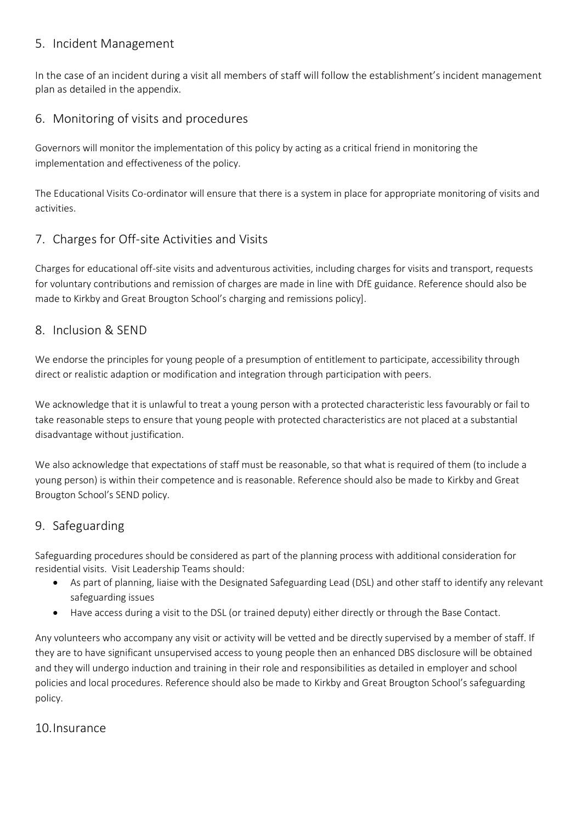### 5. Incident Management

In the case of an incident during a visit all members of staff will follow the establishment's incident management plan as detailed in the appendix.

# 6. Monitoring of visits and procedures

Governors will monitor the implementation of this policy by acting as a critical friend in monitoring the implementation and effectiveness of the policy.

The Educational Visits Co-ordinator will ensure that there is a system in place for appropriate monitoring of visits and activities.

# 7. Charges for Off-site Activities and Visits

Charges for educational off-site visits and adventurous activities, including charges for visits and transport, requests for voluntary contributions and remission of charges are made in line with DfE guidance. Reference should also be made to Kirkby and Great Brougton School's charging and remissions policy].

### 8. Inclusion & SEND

We endorse the principles for young people of a presumption of entitlement to participate, accessibility through direct or realistic adaption or modification and integration through participation with peers.

We acknowledge that it is unlawful to treat a young person with a protected characteristic less favourably or fail to take reasonable steps to ensure that young people with protected characteristics are not placed at a substantial disadvantage without justification.

We also acknowledge that expectations of staff must be reasonable, so that what is required of them (to include a young person) is within their competence and is reasonable. Reference should also be made to Kirkby and Great Brougton School's SEND policy.

# 9. Safeguarding

Safeguarding procedures should be considered as part of the planning process with additional consideration for residential visits. Visit Leadership Teams should:

- As part of planning, liaise with the Designated Safeguarding Lead (DSL) and other staff to identify any relevant safeguarding issues
- Have access during a visit to the DSL (or trained deputy) either directly or through the Base Contact.

Any volunteers who accompany any visit or activity will be vetted and be directly supervised by a member of staff. If they are to have significant unsupervised access to young people then an enhanced DBS disclosure will be obtained and they will undergo induction and training in their role and responsibilities as detailed in employer and school policies and local procedures. Reference should also be made to Kirkby and Great Brougton School's safeguarding policy.

### 10.Insurance